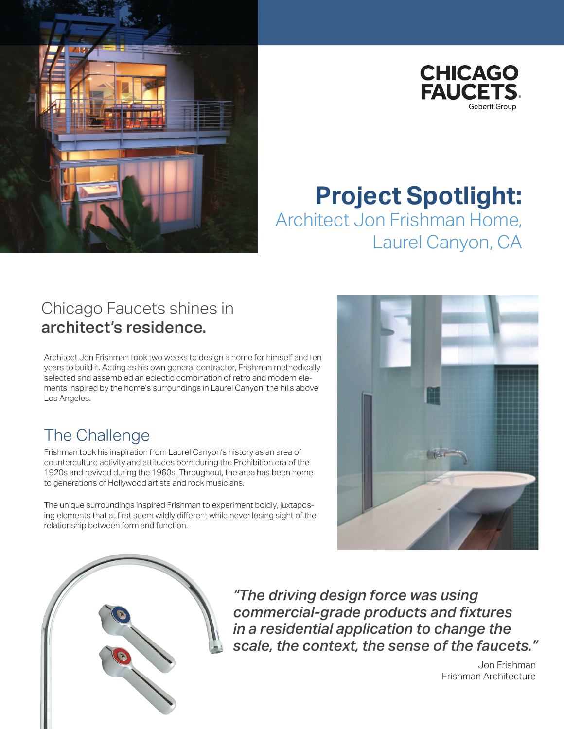



# **Project Spotlight:** Architect Jon Frishman Home, Laurel Canyon, CA

#### Chicago Faucets shines in architect's residence.

Architect Jon Frishman took two weeks to design a home for himself and ten years to build it. Acting as his own general contractor, Frishman methodically selected and assembled an eclectic combination of retro and modern elements inspired by the home's surroundings in Laurel Canyon, the hills above Los Angeles.

## The Challenge

Frishman took his inspiration from Laurel Canyon's history as an area of counterculture activity and attitudes born during the Prohibition era of the 1920s and revived during the 1960s. Throughout, the area has been home to generations of Hollywood artists and rock musicians.

The unique surroundings inspired Frishman to experiment boldly, juxtaposing elements that at first seem wildly different while never losing sight of the relationship between form and function.





*"The driving design force was using commercial-grade products and fixtures in a residential application to change the scale, the context, the sense of the faucets."*

> Jon Frishman Frishman Architecture